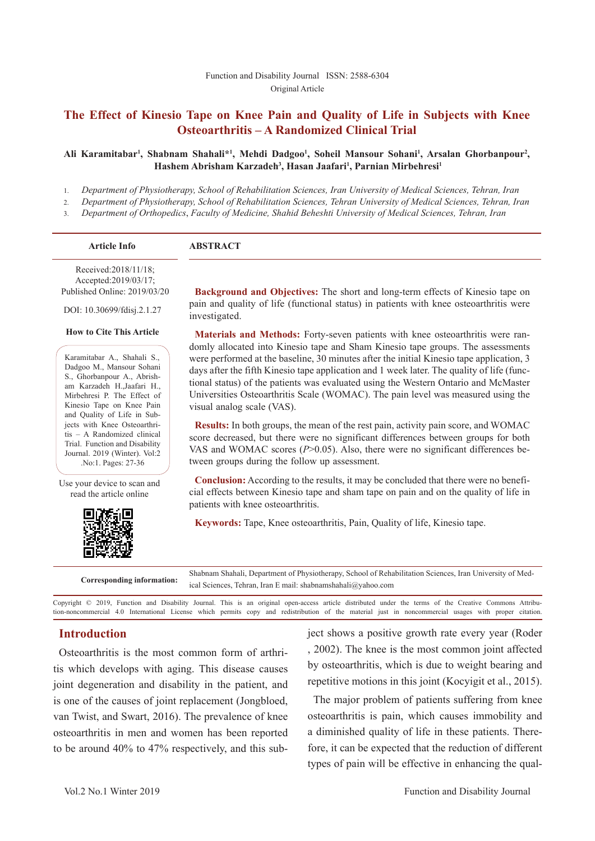## **The Effect of Kinesio Tape on Knee Pain and Quality of Life in Subjects with Knee Osteoarthritis – A Randomized Clinical Trial**

#### Ali Karamitabar<sup>ı</sup>, Shabnam Shahali\*<sup>1</sup>, Mehdi Dadgoo<sup>1</sup>, Soheil Mansour Sohani<sup>1</sup>, Arsalan Ghorbanpour<sup>2</sup>, Hashem Abrisham Karzadeh<sup>3</sup>, Hasan Jaafari<sup>1</sup>, Parnian Mirbehresi<sup>1</sup>

- 1. *Department of Physiotherapy, School of Rehabilitation Sciences, Iran University of Medical Sciences, Tehran, Iran*
- 2. *Department of Physiotherapy, School of Rehabilitation Sciences, Tehran University of Medical Sciences, Tehran, Iran*
- 3. *Department of Orthopedics*, *Faculty of Medicine, Shahid Beheshti University of Medical Sciences, Tehran, Iran*

| <b>Article Info</b>                          | <b>ABSTRACT</b> |
|----------------------------------------------|-----------------|
| Received:2018/11/18;<br>Accepted:2019/03/17; |                 |

Published Online: 2019/03/20

DOI: 10.30699/fdisj.2.1.27

#### **How to Cite This Article**

Karamitabar A., Shahali S., Dadgoo M., Mansour Sohani S., Ghorbanpour A., Abrisham Karzadeh H.,Jaafari H., Mirbehresi P. The Effect of Kinesio Tape on Knee Pain and Quality of Life in Subjects with Knee Osteoarthritis – A Randomized clinical Trial. Function and Disability Journal. 2019 (Winter). Vol:2 .No:1. Pages: 27-36

Use your device to scan and read the article online



**Background and Objectives:** The short and long-term effects of Kinesio tape on pain and quality of life (functional status) in patients with knee osteoarthritis were investigated.

**Materials and Methods:** Forty-seven patients with knee osteoarthritis were randomly allocated into Kinesio tape and Sham Kinesio tape groups. The assessments were performed at the baseline, 30 minutes after the initial Kinesio tape application, 3 days after the fifth Kinesio tape application and 1 week later. The quality of life (functional status) of the patients was evaluated using the Western Ontario and McMaster Universities Osteoarthritis Scale (WOMAC). The pain level was measured using the visual analog scale (VAS).

**Results:** In both groups, the mean of the rest pain, activity pain score, and WOMAC score decreased, but there were no significant differences between groups for both VAS and WOMAC scores  $(P>0.05)$ . Also, there were no significant differences between groups during the follow up assessment.

**Conclusion:** According to the results, it may be concluded that there were no beneficial effects between Kinesio tape and sham tape on pain and on the quality of life in patients with knee osteoarthritis.

**Keywords:** Tape, Knee osteoarthritis, Pain, Quality of life, Kinesio tape.

**Corresponding information:** Shabnam Shahali, Department of Physiotherapy, School of Rehabilitation Sciences, Iran University of Medical Sciences, Tehran, Iran E mail: shabnamshahali@yahoo.com

Copyright © 2019, Function and Disability Journal. This is an original open-access article distributed under the terms of the Creative Commons Attribution-noncommercial 4.0 International License which permits copy and redistribution of the material just in noncommercial usages with proper citation.

## **Introduction**

Osteoarthritis is the most common form of arthritis which develops with aging. This disease causes joint degeneration and disability in the patient, and is one of the causes of joint replacement (Jongbloed, van Twist, and Swart, 2016). The prevalence of knee osteoarthritis in men and women has been reported to be around 40% to 47% respectively, and this subject shows a positive growth rate every year (Roder , 2002). The knee is the most common joint affected by osteoarthritis, which is due to weight bearing and repetitive motions in this joint (Kocyigit et al., 2015).

The major problem of patients suffering from knee osteoarthritis is pain, which causes immobility and a diminished quality of life in these patients. Therefore, it can be expected that the reduction of different types of pain will be effective in enhancing the qual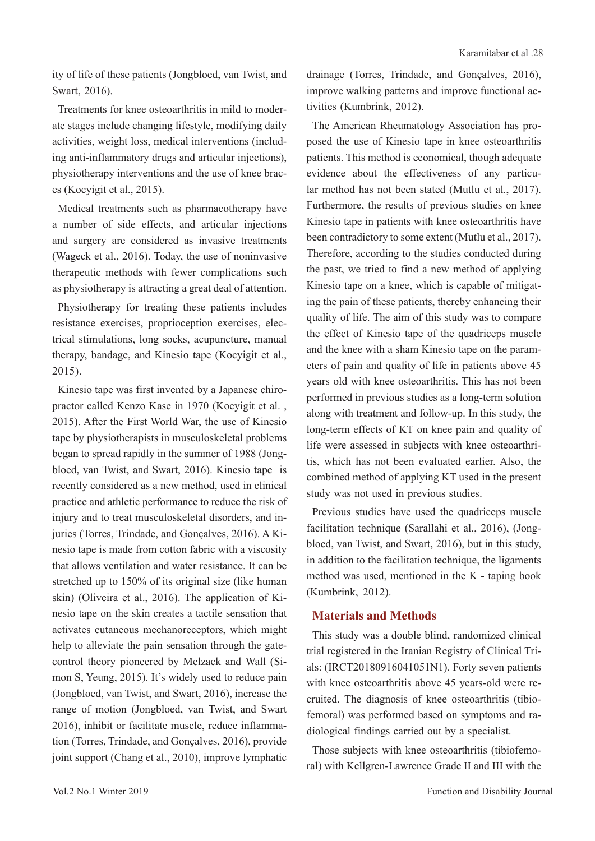ity of life of these patients (Jongbloed, van Twist, and Swart, 2016).

Treatments for knee osteoarthritis in mild to moderate stages include changing lifestyle, modifying daily activities, weight loss, medical interventions (including anti-inflammatory drugs and articular injections), physiotherapy interventions and the use of knee braces (Kocyigit et al., 2015).

Medical treatments such as pharmacotherapy have a number of side effects, and articular injections and surgery are considered as invasive treatments (Wageck et al., 2016). Today, the use of noninvasive therapeutic methods with fewer complications such as physiotherapy is attracting a great deal of attention.

Physiotherapy for treating these patients includes resistance exercises, proprioception exercises, electrical stimulations, long socks, acupuncture, manual therapy, bandage, and Kinesio tape (Kocyigit et al., 2015).

Kinesio tape was first invented by a Japanese chiropractor called Kenzo Kase in 1970 (Kocyigit et al. , 2015). After the First World War, the use of Kinesio tape by physiotherapists in musculoskeletal problems began to spread rapidly in the summer of 1988 (Jongbloed, van Twist, and Swart, 2016). Kinesio tape is recently considered as a new method, used in clinical practice and athletic performance to reduce the risk of injury and to treat musculoskeletal disorders, and injuries (Torres, Trindade, and Gonçalves, 2016). A Kinesio tape is made from cotton fabric with a viscosity that allows ventilation and water resistance. It can be stretched up to 150% of its original size (like human skin) (Oliveira et al., 2016). The application of Kinesio tape on the skin creates a tactile sensation that activates cutaneous mechanoreceptors, which might help to alleviate the pain sensation through the gatecontrol theory pioneered by Melzack and Wall (Simon S, Yeung, 2015). It's widely used to reduce pain (Jongbloed, van Twist, and Swart, 2016), increase the range of motion (Jongbloed, van Twist, and Swart 2016), inhibit or facilitate muscle, reduce inflammation (Torres, Trindade, and Gonçalves, 2016), provide joint support (Chang et al., 2010), improve lymphatic

drainage (Torres, Trindade, and Gonçalves, 2016), improve walking patterns and improve functional activities (Kumbrink, 2012).

The American Rheumatology Association has proposed the use of Kinesio tape in knee osteoarthritis patients. This method is economical, though adequate evidence about the effectiveness of any particular method has not been stated (Mutlu et al., 2017). Furthermore, the results of previous studies on knee Kinesio tape in patients with knee osteoarthritis have been contradictory to some extent (Mutlu et al., 2017). Therefore, according to the studies conducted during the past, we tried to find a new method of applying Kinesio tape on a knee, which is capable of mitigating the pain of these patients, thereby enhancing their quality of life. The aim of this study was to compare the effect of Kinesio tape of the quadriceps muscle and the knee with a sham Kinesio tape on the parameters of pain and quality of life in patients above 45 years old with knee osteoarthritis. This has not been performed in previous studies as a long-term solution along with treatment and follow-up. In this study, the long-term effects of KT on knee pain and quality of life were assessed in subjects with knee osteoarthritis, which has not been evaluated earlier. Also, the combined method of applying KT used in the present study was not used in previous studies.

Previous studies have used the quadriceps muscle facilitation technique (Sarallahi et al., 2016), (Jongbloed, van Twist, and Swart, 2016), but in this study, in addition to the facilitation technique, the ligaments method was used, mentioned in the K - taping book (Kumbrink, 2012).

#### **Materials and Methods**

This study was a double blind, randomized clinical trial registered in the Iranian Registry of Clinical Trials: (IRCT20180916041051N1). Forty seven patients with knee osteoarthritis above 45 years-old were recruited. The diagnosis of knee osteoarthritis (tibiofemoral) was performed based on symptoms and radiological findings carried out by a specialist.

Those subjects with knee osteoarthritis (tibiofemoral) with Kellgren-Lawrence Grade II and III with the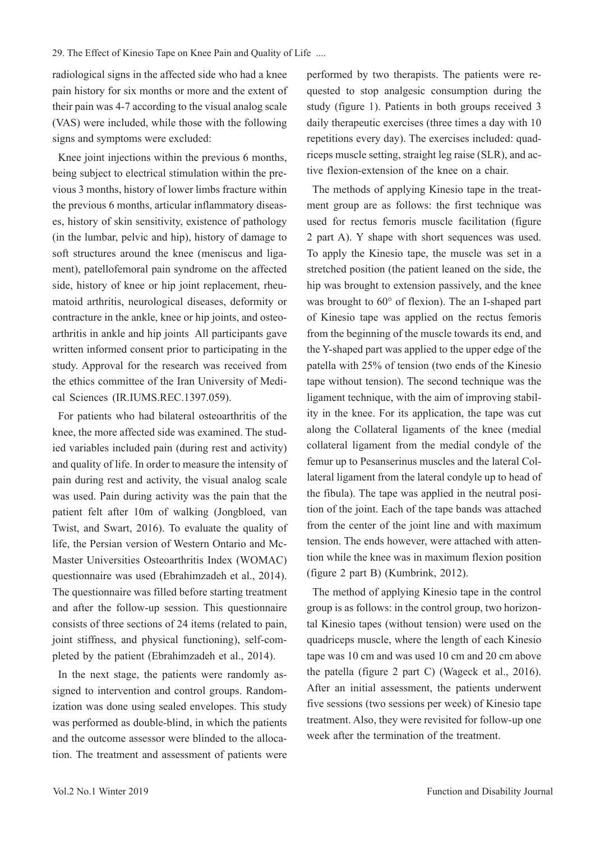radiological signs in the affected side who had a knee pain history for six months or more and the extent of their pain was 4-7 according to the visual analog scale (VAS) were included, while those with the following signs and symptoms were excluded:

Knee joint injections within the previous 6 months, being subject to electrical stimulation within the previous 3 months, history of lower limbs fracture within the previous 6 months, articular inflammatory diseases, history of skin sensitivity, existence of pathology (in the lumbar, pelvic and hip), history of damage to soft structures around the knee (meniscus and ligament), patellofemoral pain syndrome on the affected side, history of knee or hip joint replacement, rheumatoid arthritis, neurological diseases, deformity or contracture in the ankle, knee or hip joints, and osteoarthritis in ankle and hip joints All participants gave written informed consent prior to participating in the study. Approval for the research was received from the ethics committee of the Iran University of Medical Sciences (IR.IUMS.REC.1397.059).

For patients who had bilateral osteoarthritis of the knee, the more affected side was examined. The studied variables included pain (during rest and activity) and quality of life. In order to measure the intensity of pain during rest and activity, the visual analog scale was used. Pain during activity was the pain that the patient felt after 10m of walking (Jongbloed, van Twist, and Swart, 2016). To evaluate the quality of life, the Persian version of Western Ontario and Mc-Master Universities Osteoarthritis Index (WOMAC) questionnaire was used (Ebrahimzadeh et al., 2014). The questionnaire was filled before starting treatment and after the follow-up session. This questionnaire consists of three sections of 24 items (related to pain, joint stiffness, and physical functioning), self-completed by the patient (Ebrahimzadeh et al., 2014).

In the next stage, the patients were randomly assigned to intervention and control groups. Randomization was done using sealed envelopes. This study was performed as double-blind, in which the patients and the outcome assessor were blinded to the allocation. The treatment and assessment of patients were performed by two therapists. The patients were requested to stop analgesic consumption during the study (figure 1). Patients in both groups received 3 daily therapeutic exercises (three times a day with 10 repetitions every day). The exercises included: quadriceps muscle setting, straight leg raise (SLR), and active flexion-extension of the knee on a chair.

The methods of applying Kinesio tape in the treatment group are as follows: the first technique was used for rectus femoris muscle facilitation (figure 2 part A). Y shape with short sequences was used. To apply the Kinesio tape, the muscle was set in a stretched position (the patient leaned on the side, the hip was brought to extension passively, and the knee was brought to 60° of flexion). The an I-shaped part of Kinesio tape was applied on the rectus femoris from the beginning of the muscle towards its end, and the Y-shaped part was applied to the upper edge of the patella with 25% of tension (two ends of the Kinesio tape without tension). The second technique was the ligament technique, with the aim of improving stability in the knee. For its application, the tape was cut along the Collateral ligaments of the knee (medial collateral ligament from the medial condyle of the femur up to Pesanserinus muscles and the lateral Collateral ligament from the lateral condyle up to head of the fibula). The tape was applied in the neutral position of the joint. Each of the tape bands was attached from the center of the joint line and with maximum tension. The ends however, were attached with attention while the knee was in maximum flexion position (figure 2 part B) (Kumbrink, 2012).

The method of applying Kinesio tape in the control group is as follows: in the control group, two horizontal Kinesio tapes (without tension) were used on the quadriceps muscle, where the length of each Kinesio tape was 10 cm and was used 10 cm and 20 cm above the patella (figure 2 part C) (Wageck et al., 2016). After an initial assessment, the patients underwent five sessions (two sessions per week) of Kinesio tape treatment. Also, they were revisited for follow-up one week after the termination of the treatment.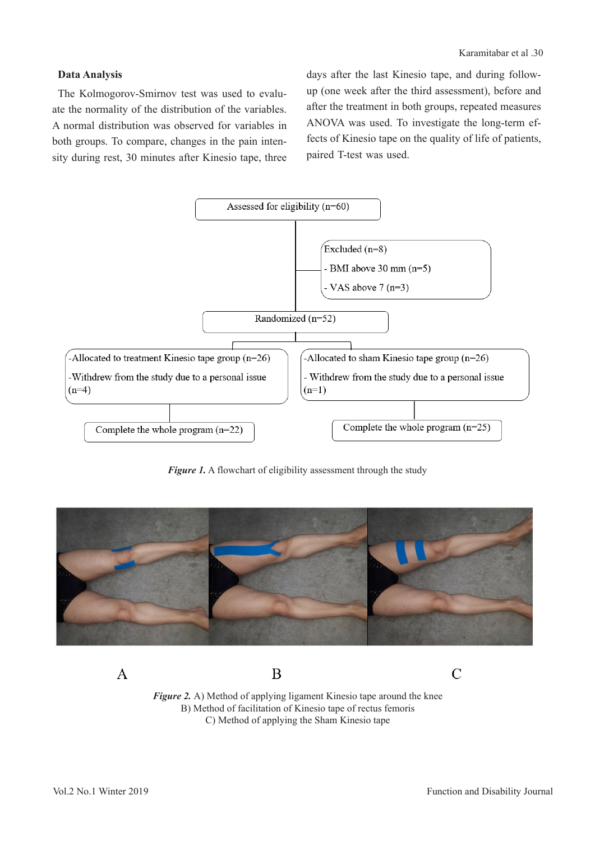## **Data Analysis**

The Kolmogorov-Smirnov test was used to evaluate the normality of the distribution of the variables. A normal distribution was observed for variables in both groups. To compare, changes in the pain intensity during rest, 30 minutes after Kinesio tape, three days after the last Kinesio tape, and during followup (one week after the third assessment), before and after the treatment in both groups, repeated measures ANOVA was used. To investigate the long-term effects of Kinesio tape on the quality of life of patients, paired T-test was used.



*Figure 1.* A flowchart of eligibility assessment through the study



*Figure 2.* A) Method of applying ligament Kinesio tape around the knee B) Method of facilitation of Kinesio tape of rectus femoris C) Method of applying the Sham Kinesio tape

B

 $\overline{A}$ 

 $\overline{C}$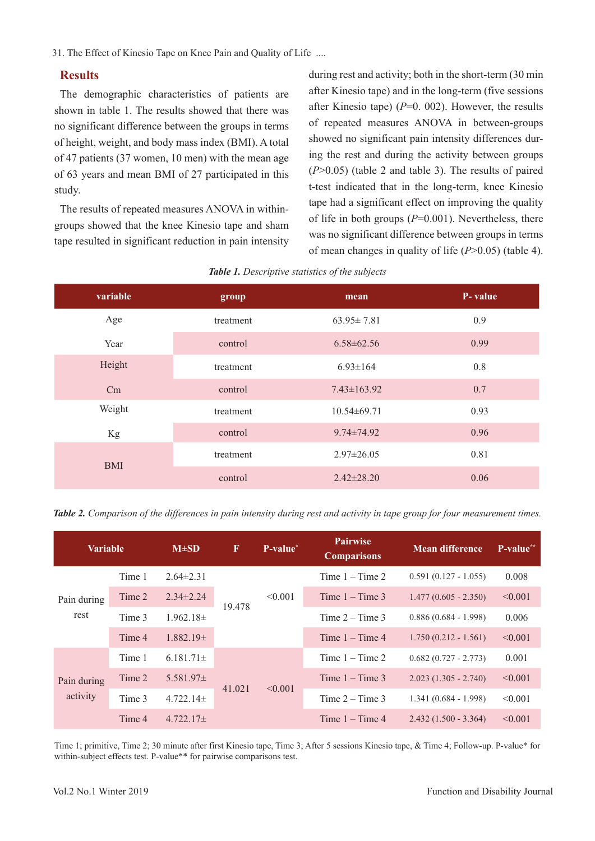31. The Effect of Kinesio Tape on Knee Pain and Quality of Life ....

#### **Results**

The demographic characteristics of patients are shown in table 1. The results showed that there was no significant difference between the groups in terms of height, weight, and body mass index (BMI). A total of 47 patients (37 women, 10 men) with the mean age of 63 years and mean BMI of 27 participated in this study.

The results of repeated measures ANOVA in withingroups showed that the knee Kinesio tape and sham tape resulted in significant reduction in pain intensity

during rest and activity; both in the short-term (30 min after Kinesio tape) and in the long-term (five sessions after Kinesio tape)  $(P=0. 002)$ . However, the results of repeated measures ANOVA in between-groups showed no significant pain intensity differences during the rest and during the activity between groups (*P*>0.05) (table 2 and table 3). The results of paired t-test indicated that in the long-term, knee Kinesio tape had a significant effect on improving the quality of life in both groups (*P*=0.001). Nevertheless, there was no significant difference between groups in terms of mean changes in quality of life (*P*>0.05) (table 4).

| variable   | group     | mean              | P-value |  |
|------------|-----------|-------------------|---------|--|
| Age        | treatment | $63.95 \pm 7.81$  | 0.9     |  |
| Year       | control   | $6.58 \pm 62.56$  | 0.99    |  |
| Height     | treatment | $6.93 \pm 164$    | 0.8     |  |
| Cm         | control   | $7.43 \pm 163.92$ | 0.7     |  |
| Weight     | treatment | $10.54 \pm 69.71$ | 0.93    |  |
| Kg         | control   | $9.74 \pm 74.92$  | 0.96    |  |
| <b>BMI</b> | treatment | $2.97 \pm 26.05$  | 0.81    |  |
|            | control   | $2.42 \pm 28.20$  | 0.06    |  |

| Table 1. Descriptive statistics of the subjects |  |  |
|-------------------------------------------------|--|--|
|                                                 |  |  |

*Table 2. Comparison of the differences in pain intensity during rest and activity in tape group for four measurement times.* 

| <b>Variable</b>         |        | $M\pm SD$       | $\mathbf{F}$ | P-value* | <b>Pairwise</b><br><b>Comparisons</b> | <b>Mean difference</b> | P-value** |
|-------------------------|--------|-----------------|--------------|----------|---------------------------------------|------------------------|-----------|
| Pain during<br>rest     | Time 1 | $2.64\pm2.31$   | 19.478       | < 0.001  | Time $1 -$ Time 2                     | $0.591(0.127 - 1.055)$ | 0.008     |
|                         | Time 2 | $2.34 \pm 2.24$ |              |          | Time $1 -$ Time 3                     | $1.477(0.605 - 2.350)$ | < 0.001   |
|                         | Time 3 | $1.962.18\pm$   |              |          | Time $2 -$ Time 3                     | $0.886(0.684 - 1.998)$ | 0.006     |
|                         | Time 4 | $1.882.19\pm$   |              |          | Time $1 -$ Time 4                     | $1.750(0.212 - 1.561)$ | < 0.001   |
| Pain during<br>activity | Time 1 | $6.181.71\pm$   | 41.021       | < 0.001  | Time $1 -$ Time 2                     | $0.682(0.727 - 2.773)$ | 0.001     |
|                         | Time 2 | $5.581.97\pm$   |              |          | Time $1 -$ Time 3                     | $2.023(1.305 - 2.740)$ | < 0.001   |
|                         | Time 3 | $4.722.14\pm$   |              |          | Time $2 -$ Time 3                     | $1.341(0.684 - 1.998)$ | < 0.001   |
|                         | Time 4 | $4.722.17\pm$   |              |          | Time $1 -$ Time 4                     | $2.432(1.500 - 3.364)$ | < 0.001   |

Time 1; primitive, Time 2; 30 minute after first Kinesio tape, Time 3; After 5 sessions Kinesio tape, & Time 4; Follow-up. P-value\* for within-subject effects test. P-value\*\* for pairwise comparisons test.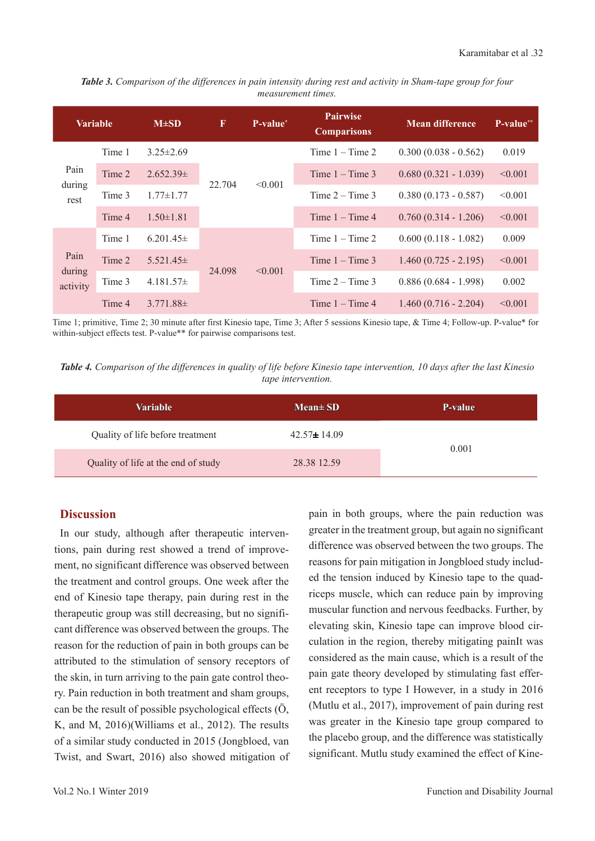*Table 3. Comparison of the differences in pain intensity during rest and activity in Sham-tape group for four measurement times.* 

| <b>Variable</b>            |        | $M\pm SD$       | $\mathbf{F}$ | P-value <sup>*</sup>   | <b>Pairwise</b><br><b>Comparisons</b> | <b>Mean difference</b> | P-value** |
|----------------------------|--------|-----------------|--------------|------------------------|---------------------------------------|------------------------|-----------|
| Pain<br>during<br>rest     | Time 1 | $3.25 \pm 2.69$ | 22.704       | < 0.001                | Time $1 -$ Time 2                     | $0.300(0.038 - 0.562)$ | 0.019     |
|                            | Time 2 | $2.652.39\pm$   |              |                        | Time $1 -$ Time 3                     | $0.680(0.321 - 1.039)$ | < 0.001   |
|                            | Time 3 | $1.77 \pm 1.77$ |              |                        | Time $2 -$ Time 3                     | $0.380(0.173 - 0.587)$ | < 0.001   |
|                            | Time 4 | $1.50 \pm 1.81$ |              |                        | Time $1 -$ Time 4                     | $0.760(0.314 - 1.206)$ | < 0.001   |
|                            | Time 1 | $6.201.45\pm$   |              | 24.098<br>$\leq 0.001$ | Time $1 -$ Time 2                     | $0.600(0.118 - 1.082)$ | 0.009     |
| Pain<br>during<br>activity | Time 2 | $5.521.45\pm$   |              |                        | Time $1 -$ Time 3                     | $1.460(0.725 - 2.195)$ | < 0.001   |
|                            | Time 3 | $4.181.57\pm$   |              |                        | Time $2 -$ Time 3                     | $0.886(0.684 - 1.998)$ | 0.002     |
|                            | Time 4 | $3.771.88\pm$   |              |                        | Time $1 -$ Time 4                     | $1.460(0.716 - 2.204)$ | < 0.001   |

Time 1; primitive, Time 2; 30 minute after first Kinesio tape, Time 3; After 5 sessions Kinesio tape, & Time 4; Follow-up. P-value\* for within-subject effects test. P-value\*\* for pairwise comparisons test.

*Table 4. Comparison of the differences in quality of life before Kinesio tape intervention, 10 days after the last Kinesio tape intervention.*

| <b>Variable</b>                     | $Mean \pm SD$     | P-value |  |
|-------------------------------------|-------------------|---------|--|
| Quality of life before treatment    | $42.57 \pm 14.09$ |         |  |
| Quality of life at the end of study | 28.38 12.59       | 0.001   |  |

### **Discussion**

In our study, although after therapeutic interventions, pain during rest showed a trend of improvement, no significant difference was observed between the treatment and control groups. One week after the end of Kinesio tape therapy, pain during rest in the therapeutic group was still decreasing, but no significant difference was observed between the groups. The reason for the reduction of pain in both groups can be attributed to the stimulation of sensory receptors of the skin, in turn arriving to the pain gate control theory. Pain reduction in both treatment and sham groups, can be the result of possible psychological effects (Ö, K, and M, 2016)(Williams et al., 2012). The results of a similar study conducted in 2015 (Jongbloed, van Twist, and Swart, 2016) also showed mitigation of pain in both groups, where the pain reduction was greater in the treatment group, but again no significant difference was observed between the two groups. The reasons for pain mitigation in Jongbloed study included the tension induced by Kinesio tape to the quadriceps muscle, which can reduce pain by improving muscular function and nervous feedbacks. Further, by elevating skin, Kinesio tape can improve blood circulation in the region, thereby mitigating painIt was considered as the main cause, which is a result of the pain gate theory developed by stimulating fast efferent receptors to type I However, in a study in 2016 (Mutlu et al., 2017), improvement of pain during rest was greater in the Kinesio tape group compared to the placebo group, and the difference was statistically significant. Mutlu study examined the effect of Kine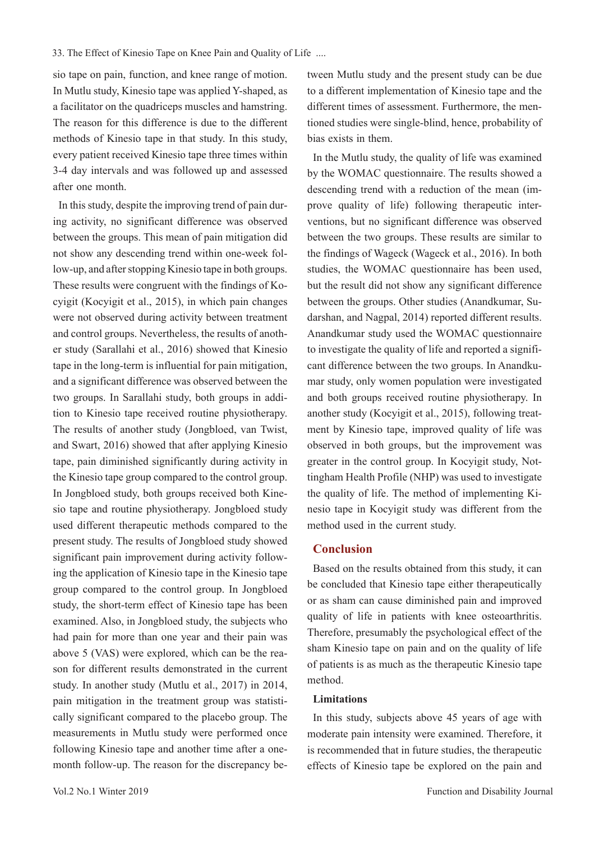sio tape on pain, function, and knee range of motion. In Mutlu study, Kinesio tape was applied Y-shaped, as a facilitator on the quadriceps muscles and hamstring. The reason for this difference is due to the different methods of Kinesio tape in that study. In this study, every patient received Kinesio tape three times within 3-4 day intervals and was followed up and assessed after one month.

In this study, despite the improving trend of pain during activity, no significant difference was observed between the groups. This mean of pain mitigation did not show any descending trend within one-week follow-up, and after stopping Kinesio tape in both groups. These results were congruent with the findings of Kocyigit (Kocyigit et al., 2015), in which pain changes were not observed during activity between treatment and control groups. Nevertheless, the results of another study (Sarallahi et al., 2016) showed that Kinesio tape in the long-term is influential for pain mitigation, and a significant difference was observed between the two groups. In Sarallahi study, both groups in addition to Kinesio tape received routine physiotherapy. The results of another study (Jongbloed, van Twist, and Swart, 2016) showed that after applying Kinesio tape, pain diminished significantly during activity in the Kinesio tape group compared to the control group. In Jongbloed study, both groups received both Kinesio tape and routine physiotherapy. Jongbloed study used different therapeutic methods compared to the present study. The results of Jongbloed study showed significant pain improvement during activity following the application of Kinesio tape in the Kinesio tape group compared to the control group. In Jongbloed study, the short-term effect of Kinesio tape has been examined. Also, in Jongbloed study, the subjects who had pain for more than one year and their pain was above 5 (VAS) were explored, which can be the reason for different results demonstrated in the current study. In another study (Mutlu et al., 2017) in 2014, pain mitigation in the treatment group was statistically significant compared to the placebo group. The measurements in Mutlu study were performed once following Kinesio tape and another time after a onemonth follow-up. The reason for the discrepancy between Mutlu study and the present study can be due to a different implementation of Kinesio tape and the different times of assessment. Furthermore, the mentioned studies were single-blind, hence, probability of bias exists in them.

In the Mutlu study, the quality of life was examined by the WOMAC questionnaire. The results showed a descending trend with a reduction of the mean (improve quality of life) following therapeutic interventions, but no significant difference was observed between the two groups. These results are similar to the findings of Wageck (Wageck et al., 2016). In both studies, the WOMAC questionnaire has been used, but the result did not show any significant difference between the groups. Other studies (Anandkumar, Sudarshan, and Nagpal, 2014) reported different results. Anandkumar study used the WOMAC questionnaire to investigate the quality of life and reported a significant difference between the two groups. In Anandkumar study, only women population were investigated and both groups received routine physiotherapy. In another study (Kocyigit et al., 2015), following treatment by Kinesio tape, improved quality of life was observed in both groups, but the improvement was greater in the control group. In Kocyigit study, Nottingham Health Profile (NHP) was used to investigate the quality of life. The method of implementing Kinesio tape in Kocyigit study was different from the method used in the current study.

## **Conclusion**

Based on the results obtained from this study, it can be concluded that Kinesio tape either therapeutically or as sham can cause diminished pain and improved quality of life in patients with knee osteoarthritis. Therefore, presumably the psychological effect of the sham Kinesio tape on pain and on the quality of life of patients is as much as the therapeutic Kinesio tape method.

#### **Limitations**

In this study, subjects above 45 years of age with moderate pain intensity were examined. Therefore, it is recommended that in future studies, the therapeutic effects of Kinesio tape be explored on the pain and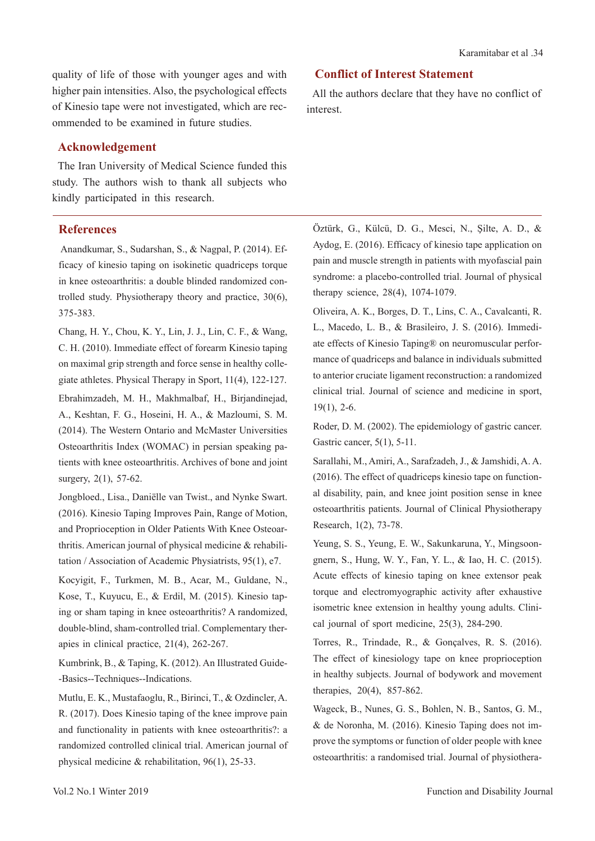quality of life of those with younger ages and with higher pain intensities. Also, the psychological effects of Kinesio tape were not investigated, which are recommended to be examined in future studies.

#### **Acknowledgement**

The Iran University of Medical Science funded this study. The authors wish to thank all subjects who kindly participated in this research.

#### **References**

 Anandkumar, S., Sudarshan, S., & Nagpal, P. (2014). Efficacy of kinesio taping on isokinetic quadriceps torque in knee osteoarthritis: a double blinded randomized controlled study. Physiotherapy theory and practice, 30(6), 375-383.

Chang, H. Y., Chou, K. Y., Lin, J. J., Lin, C. F., & Wang, C. H. (2010). Immediate effect of forearm Kinesio taping on maximal grip strength and force sense in healthy collegiate athletes. Physical Therapy in Sport, 11(4), 122-127. Ebrahimzadeh, M. H., Makhmalbaf, H., Birjandinejad, A., Keshtan, F. G., Hoseini, H. A., & Mazloumi, S. M. (2014). The Western Ontario and McMaster Universities Osteoarthritis Index (WOMAC) in persian speaking patients with knee osteoarthritis. Archives of bone and joint surgery, 2(1), 57-62.

Jongbloed., Lisa., Daniëlle van Twist., and Nynke Swart. (2016). Kinesio Taping Improves Pain, Range of Motion, and Proprioception in Older Patients With Knee Osteoarthritis. American journal of physical medicine & rehabilitation / Association of Academic Physiatrists, 95(1), e7.

Kocyigit, F., Turkmen, M. B., Acar, M., Guldane, N., Kose, T., Kuyucu, E., & Erdil, M. (2015). Kinesio taping or sham taping in knee osteoarthritis? A randomized, double-blind, sham-controlled trial. Complementary therapies in clinical practice, 21(4), 262-267.

Kumbrink, B., & Taping, K. (2012). An Illustrated Guide- -Basics--Techniques--Indications.

Mutlu, E. K., Mustafaoglu, R., Birinci, T., & Ozdincler, A. R. (2017). Does Kinesio taping of the knee improve pain and functionality in patients with knee osteoarthritis?: a randomized controlled clinical trial. American journal of physical medicine & rehabilitation, 96(1), 25-33.

# **Conflict of Interest Statement**

All the authors declare that they have no conflict of interest.

Öztürk, G., Külcü, D. G., Mesci, N., Şilte, A. D., & Aydog, E. (2016). Efficacy of kinesio tape application on pain and muscle strength in patients with myofascial pain syndrome: a placebo-controlled trial. Journal of physical therapy science, 28(4), 1074-1079.

Oliveira, A. K., Borges, D. T., Lins, C. A., Cavalcanti, R. L., Macedo, L. B., & Brasileiro, J. S. (2016). Immediate effects of Kinesio Taping® on neuromuscular performance of quadriceps and balance in individuals submitted to anterior cruciate ligament reconstruction: a randomized clinical trial. Journal of science and medicine in sport, 19(1), 2-6.

Roder, D. M. (2002). The epidemiology of gastric cancer. Gastric cancer, 5(1), 5-11.

Sarallahi, M., Amiri, A., Sarafzadeh, J., & Jamshidi, A. A. (2016). The effect of quadriceps kinesio tape on functional disability, pain, and knee joint position sense in knee osteoarthritis patients. Journal of Clinical Physiotherapy Research, 1(2), 73-78.

Yeung, S. S., Yeung, E. W., Sakunkaruna, Y., Mingsoongnern, S., Hung, W. Y., Fan, Y. L., & Iao, H. C. (2015). Acute effects of kinesio taping on knee extensor peak torque and electromyographic activity after exhaustive isometric knee extension in healthy young adults. Clinical journal of sport medicine, 25(3), 284-290.

Torres, R., Trindade, R., & Gonçalves, R. S. (2016). The effect of kinesiology tape on knee proprioception in healthy subjects. Journal of bodywork and movement therapies, 20(4), 857-862.

Wageck, B., Nunes, G. S., Bohlen, N. B., Santos, G. M., & de Noronha, M. (2016). Kinesio Taping does not improve the symptoms or function of older people with knee osteoarthritis: a randomised trial. Journal of physiothera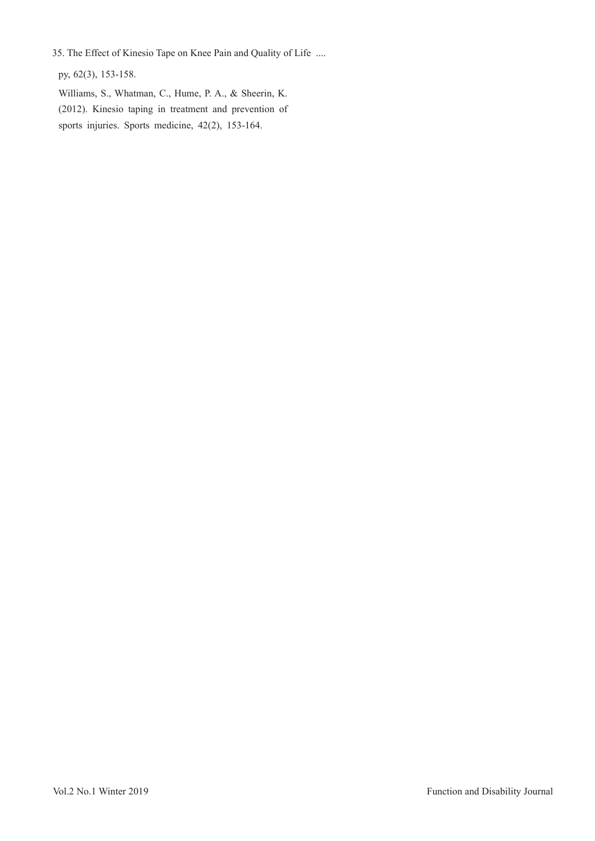35. The Effect of Kinesio Tape on Knee Pain and Quality of Life ....

py, 62(3), 153-158.

Williams, S., Whatman, C., Hume, P. A., & Sheerin, K. (2012). Kinesio taping in treatment and prevention of sports injuries. Sports medicine, 42(2), 153-164.